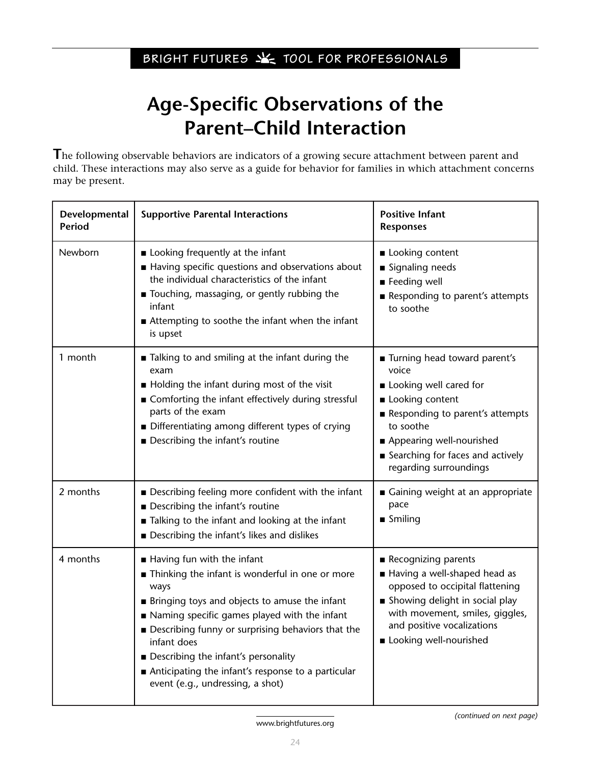## **Age-Specific Observations of the Parent–Child Interaction**

**T**he following observable behaviors are indicators of a growing secure attachment between parent and child. These interactions may also serve as a guide for behavior for families in which attachment concerns may be present.

| Developmental<br><b>Period</b> | <b>Supportive Parental Interactions</b>                                                                                                                                                                                                                                                                                                                                                              | <b>Positive Infant</b><br><b>Responses</b>                                                                                                                                                                                            |
|--------------------------------|------------------------------------------------------------------------------------------------------------------------------------------------------------------------------------------------------------------------------------------------------------------------------------------------------------------------------------------------------------------------------------------------------|---------------------------------------------------------------------------------------------------------------------------------------------------------------------------------------------------------------------------------------|
| Newborn                        | Looking frequently at the infant<br>Having specific questions and observations about<br>the individual characteristics of the infant<br>Touching, massaging, or gently rubbing the<br>infant<br>■ Attempting to soothe the infant when the infant<br>is upset                                                                                                                                        | <b>Looking content</b><br>■ Signaling needs<br>Feeding well<br>Responding to parent's attempts<br>to soothe                                                                                                                           |
| 1 month                        | Talking to and smiling at the infant during the<br>exam<br>Holding the infant during most of the visit<br>■ Comforting the infant effectively during stressful<br>parts of the exam<br>Differentiating among different types of crying<br>Describing the infant's routine                                                                                                                            | ■ Turning head toward parent's<br>voice<br>Looking well cared for<br><b>Looking content</b><br>Responding to parent's attempts<br>to soothe<br>Appearing well-nourished<br>Searching for faces and actively<br>regarding surroundings |
| 2 months                       | Describing feeling more confident with the infant<br>Describing the infant's routine<br>■ Talking to the infant and looking at the infant<br>Describing the infant's likes and dislikes                                                                                                                                                                                                              | Gaining weight at an appropriate<br>pace<br>$\blacksquare$ Smiling                                                                                                                                                                    |
| 4 months                       | Having fun with the infant<br>Thinking the infant is wonderful in one or more<br>ways<br><b>Bringing toys and objects to amuse the infant</b><br>Naming specific games played with the infant<br>■ Describing funny or surprising behaviors that the<br>infant does<br>Describing the infant's personality<br>Anticipating the infant's response to a particular<br>event (e.g., undressing, a shot) | Recognizing parents<br>Having a well-shaped head as<br>opposed to occipital flattening<br>Showing delight in social play<br>with movement, smiles, giggles,<br>and positive vocalizations<br>Looking well-nourished                   |